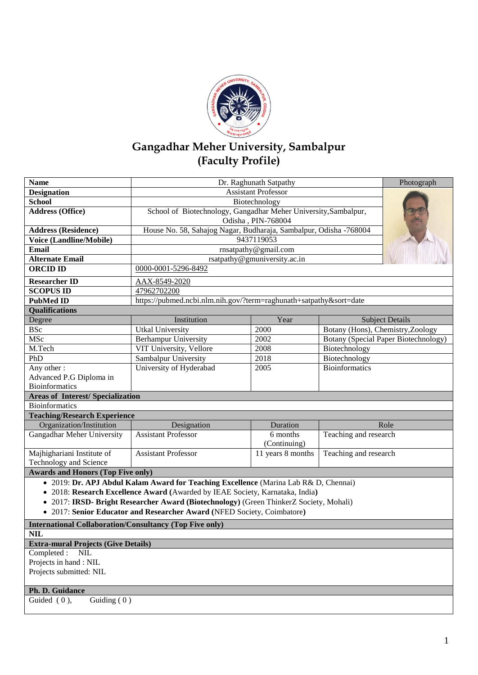

## **Gangadhar Meher University, Sambalpur (Faculty Profile)**

| <b>Name</b>                                                                            | Dr. Raghunath Satpathy                                                                | Photograph                   |                                      |  |  |  |
|----------------------------------------------------------------------------------------|---------------------------------------------------------------------------------------|------------------------------|--------------------------------------|--|--|--|
| <b>Designation</b>                                                                     | <b>Assistant Professor</b>                                                            |                              |                                      |  |  |  |
| <b>School</b>                                                                          | Biotechnology                                                                         |                              |                                      |  |  |  |
| <b>Address (Office)</b>                                                                | School of Biotechnology, Gangadhar Meher University, Sambalpur,<br>Odisha, PIN-768004 |                              |                                      |  |  |  |
| <b>Address (Residence)</b>                                                             | House No. 58, Sahajog Nagar, Budharaja, Sambalpur, Odisha -768004                     |                              |                                      |  |  |  |
| Voice (Landline/Mobile)                                                                |                                                                                       | 9437119053                   |                                      |  |  |  |
| <b>Email</b>                                                                           |                                                                                       | rnsatpathy@gmail.com         |                                      |  |  |  |
| <b>Alternate Email</b>                                                                 |                                                                                       | rsatpathy@gmuniversity.ac.in |                                      |  |  |  |
| <b>ORCID ID</b>                                                                        | 0000-0001-5296-8492                                                                   |                              |                                      |  |  |  |
| <b>Researcher ID</b>                                                                   | AAX-8549-2020                                                                         |                              |                                      |  |  |  |
| <b>SCOPUS ID</b>                                                                       | 47962702200                                                                           |                              |                                      |  |  |  |
| <b>PubMed ID</b>                                                                       | https://pubmed.ncbi.nlm.nih.gov/?term=raghunath+satpathy&sort=date                    |                              |                                      |  |  |  |
| <b>Qualifications</b>                                                                  |                                                                                       |                              |                                      |  |  |  |
| Degree                                                                                 | Institution                                                                           | Year                         | <b>Subject Details</b>               |  |  |  |
| <b>BSc</b>                                                                             | <b>Utkal University</b>                                                               | 2000                         | Botany (Hons), Chemistry, Zoology    |  |  |  |
| MSc                                                                                    | <b>Berhampur University</b>                                                           | 2002                         | Botany (Special Paper Biotechnology) |  |  |  |
| M.Tech                                                                                 | VIT University, Vellore                                                               | 2008                         | Biotechnology                        |  |  |  |
| PhD                                                                                    | Sambalpur University                                                                  | 2018                         | Biotechnology                        |  |  |  |
| Any other:                                                                             | University of Hyderabad                                                               | 2005                         | Bioinformatics                       |  |  |  |
| Advanced P.G Diploma in                                                                |                                                                                       |                              |                                      |  |  |  |
| <b>Bioinformatics</b>                                                                  |                                                                                       |                              |                                      |  |  |  |
| <b>Areas of Interest/Specialization</b>                                                |                                                                                       |                              |                                      |  |  |  |
| <b>Bioinformatics</b>                                                                  |                                                                                       |                              |                                      |  |  |  |
| <b>Teaching/Research Experience</b>                                                    |                                                                                       |                              |                                      |  |  |  |
| Organization/Institution                                                               | Designation                                                                           | Duration                     | Role                                 |  |  |  |
| Gangadhar Meher University                                                             | <b>Assistant Professor</b>                                                            | 6 months<br>(Continuing)     | Teaching and research                |  |  |  |
| Majhighariani Institute of                                                             | <b>Assistant Professor</b>                                                            | 11 years 8 months            | Teaching and research                |  |  |  |
| Technology and Science                                                                 |                                                                                       |                              |                                      |  |  |  |
| <b>Awards and Honors (Top Five only)</b>                                               |                                                                                       |                              |                                      |  |  |  |
| • 2019: Dr. APJ Abdul Kalam Award for Teaching Excellence (Marina Lab R& D, Chennai)   |                                                                                       |                              |                                      |  |  |  |
| • 2018: Research Excellence Award (Awarded by IEAE Society, Karnataka, India)          |                                                                                       |                              |                                      |  |  |  |
| • 2017: IRSD- Bright Researcher Award (Biotechnology) (Green ThinkerZ Society, Mohali) |                                                                                       |                              |                                      |  |  |  |
| • 2017: Senior Educator and Researcher Award (NFED Society, Coimbatore)                |                                                                                       |                              |                                      |  |  |  |
| <b>International Collaboration/Consultancy (Top Five only)</b>                         |                                                                                       |                              |                                      |  |  |  |
| <b>NIL</b>                                                                             |                                                                                       |                              |                                      |  |  |  |
| <b>Extra-mural Projects (Give Details)</b>                                             |                                                                                       |                              |                                      |  |  |  |
| Completed: NIL                                                                         |                                                                                       |                              |                                      |  |  |  |
| Projects in hand: NIL                                                                  |                                                                                       |                              |                                      |  |  |  |
| Projects submitted: NIL                                                                |                                                                                       |                              |                                      |  |  |  |
|                                                                                        |                                                                                       |                              |                                      |  |  |  |
|                                                                                        |                                                                                       |                              |                                      |  |  |  |
| Ph. D. Guidance<br>Guiding $(0)$<br>Guided (0),                                        |                                                                                       |                              |                                      |  |  |  |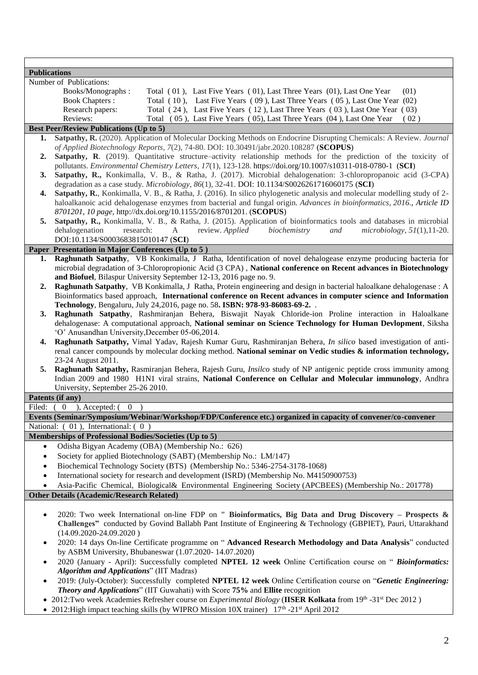| <b>Publications</b>                                                           |                                                                                                                     |  |                                                                                                                           |  |  |
|-------------------------------------------------------------------------------|---------------------------------------------------------------------------------------------------------------------|--|---------------------------------------------------------------------------------------------------------------------------|--|--|
|                                                                               | Number of Publications:                                                                                             |  |                                                                                                                           |  |  |
|                                                                               | Books/Monographs:                                                                                                   |  | Total (01), Last Five Years (01), Last Three Years (01), Last One Year<br>(01)                                            |  |  |
|                                                                               | <b>Book Chapters:</b>                                                                                               |  | Total (10), Last Five Years (09), Last Three Years (05), Last One Year (02)                                               |  |  |
|                                                                               | Research papers:                                                                                                    |  | Total (24), Last Five Years (12), Last Three Years (03), Last One Year (03)                                               |  |  |
|                                                                               | Reviews:                                                                                                            |  | Total (05), Last Five Years (05), Last Three Years (04), Last One Year<br>(02)                                            |  |  |
|                                                                               | <b>Best Peer/Review Publications (Up to 5)</b>                                                                      |  |                                                                                                                           |  |  |
| 1.                                                                            |                                                                                                                     |  | Satpathy, R. (2020). Application of Molecular Docking Methods on Endocrine Disrupting Chemicals: A Review. Journal        |  |  |
|                                                                               |                                                                                                                     |  | of Applied Biotechnology Reports, 7(2), 74-80. DOI: 10.30491/jabr.2020.108287 (SCOPUS)                                    |  |  |
| 2.                                                                            |                                                                                                                     |  | Satpathy, R. (2019). Quantitative structure–activity relationship methods for the prediction of the toxicity of           |  |  |
|                                                                               |                                                                                                                     |  | pollutants. Environmental Chemistry Letters, 17(1), 123-128. https://doi.org/10.1007/s10311-018-0780-1 (SCI)              |  |  |
| 3.                                                                            |                                                                                                                     |  | Satpathy, R., Konkimalla, V. B., & Ratha, J. (2017). Microbial dehalogenation: 3-chloropropanoic acid (3-CPA)             |  |  |
|                                                                               |                                                                                                                     |  | degradation as a case study. Microbiology, 86(1), 32-41. DOI: 10.1134/S0026261716060175 (SCI)                             |  |  |
| 4.                                                                            |                                                                                                                     |  | Satpathy, R., Konkimalla, V. B., & Ratha, J. (2016). In silico phylogenetic analysis and molecular modelling study of 2-  |  |  |
|                                                                               |                                                                                                                     |  | haloalkanoic acid dehalogenase enzymes from bacterial and fungal origin. Advances in bioinformatics, 2016., Article ID    |  |  |
|                                                                               |                                                                                                                     |  | 8701201, 10 page, http://dx.doi.org/10.1155/2016/8701201. (SCOPUS)                                                        |  |  |
| 5.                                                                            | Satpathy, R., Konkimalla, V. B., & Ratha, J. (2015). Application of bioinformatics tools and databases in microbial |  |                                                                                                                           |  |  |
|                                                                               | dehalogenation<br>research:<br>A<br>review. Applied<br>biochemistry<br>and<br>$microbiology, 51(1), 11-20.$         |  |                                                                                                                           |  |  |
|                                                                               | DOI:10.1134/S0003683815010147 (SCI)                                                                                 |  |                                                                                                                           |  |  |
|                                                                               | Paper Presentation in Major Conferences (Up to 5)                                                                   |  |                                                                                                                           |  |  |
| 1.                                                                            |                                                                                                                     |  | Raghunath Satpathy, VB Konkimalla, J Ratha, Identification of novel dehalogease enzyme producing bacteria for             |  |  |
|                                                                               |                                                                                                                     |  | microbial degradation of 3-Chloropropionic Acid (3 CPA), National conference on Recent advances in Biotechnology          |  |  |
|                                                                               | and Biofuel, Bilaspur University September 12-13, 2016 page no. 9.                                                  |  |                                                                                                                           |  |  |
| 2.                                                                            |                                                                                                                     |  | Raghunath Satpathy, VB Konkimalla, J Ratha, Protein engineering and design in bacterial haloalkane dehalogenase : A       |  |  |
|                                                                               |                                                                                                                     |  | Bioinformatics based approach, International conference on Recent advances in computer science and Information            |  |  |
|                                                                               |                                                                                                                     |  | Technology, Bengaluru, July 24, 2016, page no. 58. ISBN: 978-93-86083-69-2. .                                             |  |  |
| 3.                                                                            |                                                                                                                     |  | Raghunath Satpathy, Rashmiranjan Behera, Biswajit Nayak Chloride-ion Proline interaction in Haloalkane                    |  |  |
|                                                                               |                                                                                                                     |  | dehalogenase: A computational approach, National seminar on Science Technology for Human Devlopment, Siksha               |  |  |
|                                                                               | 'O' Anusandhan University, December 05-06, 2014.                                                                    |  |                                                                                                                           |  |  |
| 4.                                                                            |                                                                                                                     |  | Raghunath Satpathy, Vimal Yadav, Rajesh Kumar Guru, Rashmiranjan Behera, In silico based investigation of anti-           |  |  |
|                                                                               |                                                                                                                     |  | renal cancer compounds by molecular docking method. National seminar on Vedic studies & information technology,           |  |  |
|                                                                               | 23-24 August 2011.                                                                                                  |  |                                                                                                                           |  |  |
| 5.                                                                            |                                                                                                                     |  | Raghunath Satpathy, Rasmiranjan Behera, Rajesh Guru, Insilco study of NP antigenic peptide cross immunity among           |  |  |
|                                                                               |                                                                                                                     |  | Indian 2009 and 1980 H1N1 viral strains, National Conference on Cellular and Molecular immunology, Andhra                 |  |  |
|                                                                               | University, September 25-26 2010.                                                                                   |  |                                                                                                                           |  |  |
|                                                                               | Patents (if any)                                                                                                    |  |                                                                                                                           |  |  |
| $)$ , Accepted: $($<br>Filed: $(0)$<br>$\bf{0}$                               |                                                                                                                     |  |                                                                                                                           |  |  |
|                                                                               |                                                                                                                     |  | Events (Seminar/Symposium/Webinar/Workshop/FDP/Conference etc.) organized in capacity of convener/co-convener             |  |  |
|                                                                               | National: (01), International: (0)                                                                                  |  |                                                                                                                           |  |  |
|                                                                               | Memberships of Professional Bodies/Societies (Up to 5)                                                              |  |                                                                                                                           |  |  |
| ٠                                                                             | Odisha Bigyan Academy (OBA) (Membership No.: 626)                                                                   |  |                                                                                                                           |  |  |
| $\bullet$                                                                     |                                                                                                                     |  | Society for applied Biotechnology (SABT) (Membership No.: LM/147)                                                         |  |  |
| $\bullet$                                                                     |                                                                                                                     |  | Biochemical Technology Society (BTS) (Membership No.: 5346-2754-3178-1068)                                                |  |  |
| ٠                                                                             |                                                                                                                     |  | International society for research and development (ISRD) (Membership No. M4150900753)                                    |  |  |
|                                                                               |                                                                                                                     |  | Asia-Pacific Chemical, Biological& Environmental Engineering Society (APCBEES) (Membership No.: 201778)                   |  |  |
|                                                                               | <b>Other Details (Academic/Research Related)</b>                                                                    |  |                                                                                                                           |  |  |
|                                                                               |                                                                                                                     |  |                                                                                                                           |  |  |
| ٠                                                                             |                                                                                                                     |  | 2020: Two week International on-line FDP on " Bioinformatics, Big Data and Drug Discovery – Prospects &                   |  |  |
|                                                                               |                                                                                                                     |  | Challenges" conducted by Govind Ballabh Pant Institute of Engineering & Technology (GBPIET), Pauri, Uttarakhand           |  |  |
|                                                                               | $(14.09.2020-24.09.2020)$                                                                                           |  |                                                                                                                           |  |  |
|                                                                               | 2020: 14 days On-line Certificate programme on "Advanced Research Methodology and Data Analysis" conducted          |  |                                                                                                                           |  |  |
|                                                                               | by ASBM University, Bhubaneswar (1.07.2020-14.07.2020)                                                              |  |                                                                                                                           |  |  |
|                                                                               | 2020 (January - April): Successfully completed NPTEL 12 week Online Certification course on "Bioinformatics:        |  |                                                                                                                           |  |  |
|                                                                               | <b>Algorithm and Applications</b> " (IIT Madras)                                                                    |  |                                                                                                                           |  |  |
|                                                                               | 2019: (July-October): Successfully completed NPTEL 12 week Online Certification course on "Genetic Engineering:     |  |                                                                                                                           |  |  |
| Theory and Applications" (IIT Guwahati) with Score 75% and Ellite recognition |                                                                                                                     |  |                                                                                                                           |  |  |
|                                                                               |                                                                                                                     |  | • 2012:Two week Academies Refresher course on Experimental Biology (IISER Kolkata from $19th$ -31 <sup>st</sup> Dec 2012) |  |  |
|                                                                               |                                                                                                                     |  | • 2012: High impact teaching skills (by WIPRO Mission 10X trainer) 17 <sup>th</sup> -21 <sup>st</sup> April 2012          |  |  |